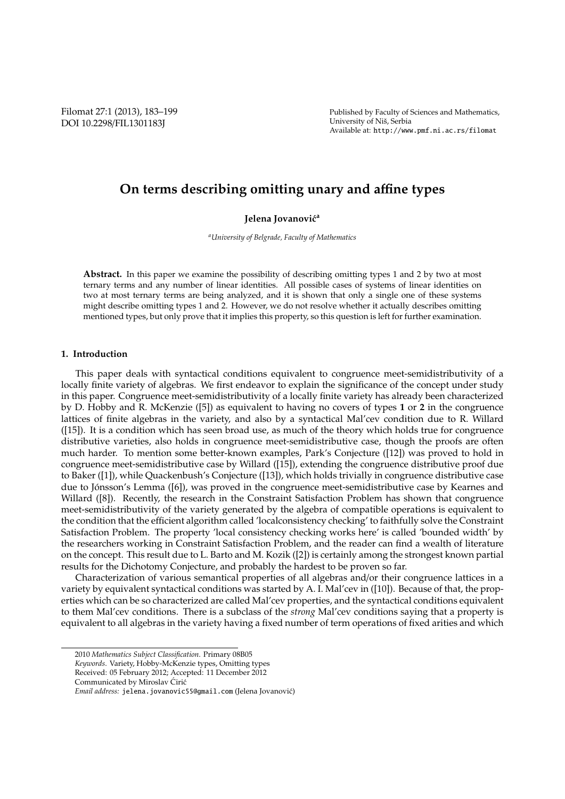Filomat 27:1 (2013), 183–199 DOI 10.2298/FIL1301183J

Published by Faculty of Sciences and Mathematics, University of Niš, Serbia Available at: http://www.pmf.ni.ac.rs/filomat

# **On terms describing omitting unary and a**ffi**ne types**

# **Jelena Jovanović<sup>a</sup>**

*<sup>a</sup>University of Belgrade, Faculty of Mathematics*

Abstract. In this paper we examine the possibility of describing omitting types 1 and 2 by two at most ternary terms and any number of linear identities. All possible cases of systems of linear identities on two at most ternary terms are being analyzed, and it is shown that only a single one of these systems might describe omitting types 1 and 2. However, we do not resolve whether it actually describes omitting mentioned types, but only prove that it implies this property, so this question is left for further examination.

## **1. Introduction**

This paper deals with syntactical conditions equivalent to congruence meet-semidistributivity of a locally finite variety of algebras. We first endeavor to explain the significance of the concept under study in this paper. Congruence meet-semidistributivity of a locally finite variety has already been characterized by D. Hobby and R. McKenzie ([5]) as equivalent to having no covers of types **1** or **2** in the congruence lattices of finite algebras in the variety, and also by a syntactical Mal'cev condition due to R. Willard ([15]). It is a condition which has seen broad use, as much of the theory which holds true for congruence distributive varieties, also holds in congruence meet-semidistributive case, though the proofs are often much harder. To mention some better-known examples, Park's Conjecture ([12]) was proved to hold in congruence meet-semidistributive case by Willard ([15]), extending the congruence distributive proof due to Baker ([1]), while Quackenbush's Conjecture ([13]), which holds trivially in congruence distributive case due to Jónsson's Lemma ([6]), was proved in the congruence meet-semidistributive case by Kearnes and Willard ([8]). Recently, the research in the Constraint Satisfaction Problem has shown that congruence meet-semidistributivity of the variety generated by the algebra of compatible operations is equivalent to the condition that the efficient algorithm called 'localconsistency checking' to faithfully solve the Constraint Satisfaction Problem. The property 'local consistency checking works here' is called 'bounded width' by the researchers working in Constraint Satisfaction Problem, and the reader can find a wealth of literature on the concept. This result due to L. Barto and M. Kozik ([2]) is certainly among the strongest known partial results for the Dichotomy Conjecture, and probably the hardest to be proven so far.

Characterization of various semantical properties of all algebras and/or their congruence lattices in a variety by equivalent syntactical conditions was started by A. I. Mal'cev in ([10]). Because of that, the properties which can be so characterized are called Mal'cev properties, and the syntactical conditions equivalent to them Mal'cev conditions. There is a subclass of the *strong* Mal'cev conditions saying that a property is equivalent to all algebras in the variety having a fixed number of term operations of fixed arities and which

<sup>2010</sup> *Mathematics Subject Classification*. Primary 08B05

*Keywords*. Variety, Hobby-McKenzie types, Omitting types

Received: 05 February 2012; Accepted: 11 December 2012

Communicated by Miroslav Ćirić

*Email address:* jelena.jovanovic55@gmail.com (Jelena Jovanovic)´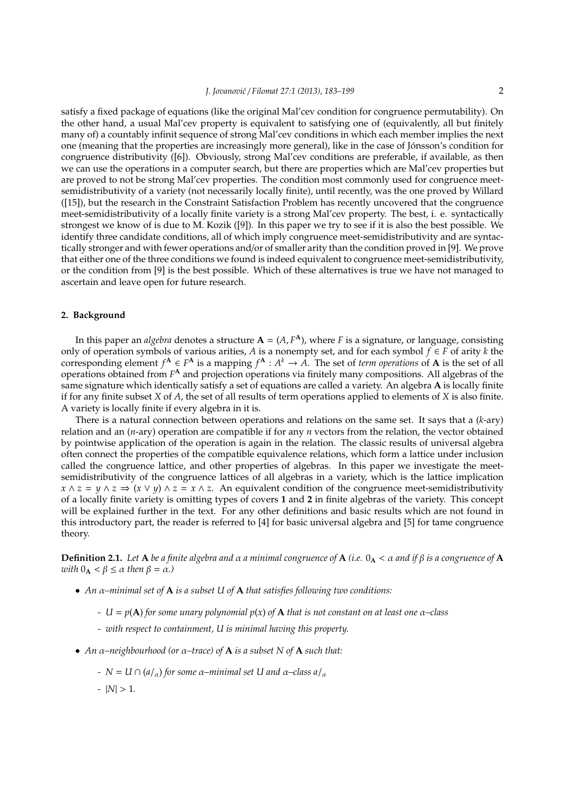satisfy a fixed package of equations (like the original Mal'cev condition for congruence permutability). On the other hand, a usual Mal'cev property is equivalent to satisfying one of (equivalently, all but finitely many of) a countably infinit sequence of strong Mal'cev conditions in which each member implies the next one (meaning that the properties are increasingly more general), like in the case of Jonsson's condition for ´ congruence distributivity ([6]). Obviously, strong Mal'cev conditions are preferable, if available, as then we can use the operations in a computer search, but there are properties which are Mal'cev properties but are proved to not be strong Mal'cev properties. The condition most commonly used for congruence meetsemidistributivity of a variety (not necessarily locally finite), until recently, was the one proved by Willard ([15]), but the research in the Constraint Satisfaction Problem has recently uncovered that the congruence meet-semidistributivity of a locally finite variety is a strong Mal'cev property. The best, i. e. syntactically strongest we know of is due to M. Kozik ([9]). In this paper we try to see if it is also the best possible. We identify three candidate conditions, all of which imply congruence meet-semidistributivity and are syntactically stronger and with fewer operations and/or of smaller arity than the condition proved in [9]. We prove that either one of the three conditions we found is indeed equivalent to congruence meet-semidistributivity, or the condition from [9] is the best possible. Which of these alternatives is true we have not managed to ascertain and leave open for future research.

# **2. Background**

In this paper an *algebra* denotes a structure  $A = (A, F^A)$ , where *F* is a signature, or language, consisting only of operation symbols of various arities, *A* is a nonempty set, and for each symbol  $f \in F$  of arity *k* the corresponding element  $f^{\mathbf{A}} \in F^{\mathbf{A}}$  is a mapping  $f^{\mathbf{A}}: A^k \to A$ . The set of *term operations* of **A** is the set of all operations obtained from *F* **<sup>A</sup>** and projection operations via finitely many compositions. All algebras of the same signature which identically satisfy a set of equations are called a variety. An algebra **A** is locally finite if for any finite subset *X* of *A*, the set of all results of term operations applied to elements of *X* is also finite. A variety is locally finite if every algebra in it is.

There is a natural connection between operations and relations on the same set. It says that a (*k*-ary) relation and an (*n*-ary) operation are compatible if for any *n* vectors from the relation, the vector obtained by pointwise application of the operation is again in the relation. The classic results of universal algebra often connect the properties of the compatible equivalence relations, which form a lattice under inclusion called the congruence lattice, and other properties of algebras. In this paper we investigate the meetsemidistributivity of the congruence lattices of all algebras in a variety, which is the lattice implication  $x \wedge z = y \wedge z \Rightarrow (x \vee y) \wedge z = x \wedge z$ . An equivalent condition of the congruence meet-semidistributivity of a locally finite variety is omitting types of covers **1** and **2** in finite algebras of the variety. This concept will be explained further in the text. For any other definitions and basic results which are not found in this introductory part, the reader is referred to [4] for basic universal algebra and [5] for tame congruence theory.

**Definition 2.1.** *Let* **A** *be a finite algebra and*  $\alpha$  *a minimal congruence of* **A** *(i.e.* 0<sub>**A**</sub> <  $\alpha$  *and if* β *is a congruence of* **A** *with*  $0_A < \beta \leq \alpha$  *then*  $\beta = \alpha$ *.*)

- *An* α*–minimal set of* **A** *is a subset U of* **A** *that satisfies following two conditions:*
	- *- U* = *p*(**A**) *for some unary polynomial p*(*x*) *of* **A** *that is not constant on at least one* α*–class*
	- *- with respect to containment, U is minimal having this property.*
- *An* α*–neighbourhood (or* α*–trace) of* **A** *is a subset N of* **A** *such that:*
	- *- N* = *U* ∩ ( $a/a$ ) for some α–minimal set U and α–class  $a/a$
	- $|N| > 1$ .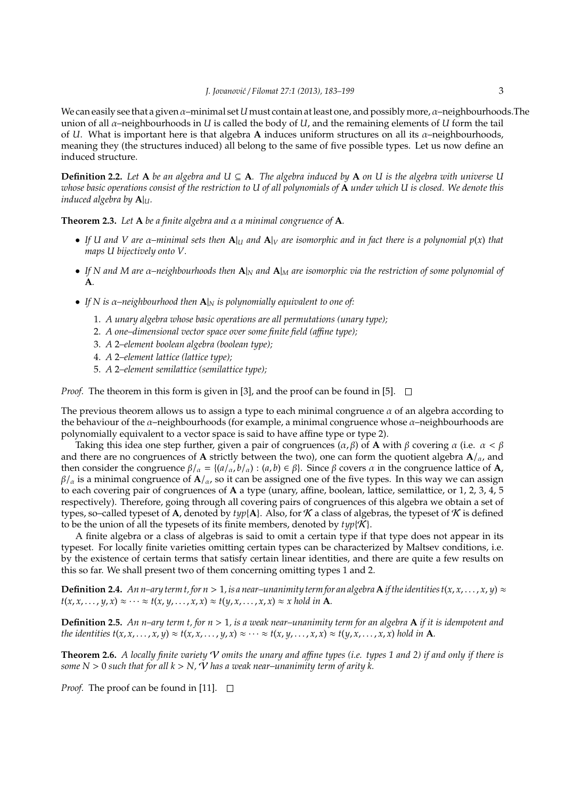We can easily see that a given α–minimal set *U* must contain at least one, and possibly more, α–neighbourhoods.The union of all α–neighbourhoods in *U* is called the body of *U*, and the remaining elements of *U* form the tail of *U*. What is important here is that algebra **A** induces uniform structures on all its α–neighbourhoods, meaning they (the structures induced) all belong to the same of five possible types. Let us now define an induced structure.

**Definition 2.2.** Let  $A$  be an algebra and  $U \subseteq A$ . The algebra induced by  $A$  on  $U$  is the algebra with universe  $U$ *whose basic operations consist of the restriction to U of all polynomials of* **A** *under which U is closed. We denote this induced algebra by* **A**|*U.*

**Theorem 2.3.** *Let* **A** *be a finite algebra and* α *a minimal congruence of* **A***.*

- *If U and V are* α*–minimal sets then* **A**|*<sup>U</sup> and* **A**|*<sup>V</sup> are isomorphic and in fact there is a polynomial p*(*x*) *that maps U bijectively onto V.*
- *If N and M are* α*–neighbourhoods then* **A**|*<sup>N</sup> and* **A**|*<sup>M</sup> are isomorphic via the restriction of some polynomial of* **A***.*
- *If N is* α*–neighbourhood then* **A**|*<sup>N</sup> is polynomially equivalent to one of:*
	- 1. *A unary algebra whose basic operations are all permutations (unary type);*
	- 2. *A one–dimensional vector space over some finite field (a*ffi*ne type);*
	- 3. *A* 2*–element boolean algebra (boolean type);*
	- 4. *A* 2*–element lattice (lattice type);*
	- 5. *A* 2*–element semilattice (semilattice type);*

*Proof.* The theorem in this form is given in [3], and the proof can be found in [5].  $\Box$ 

The previous theorem allows us to assign a type to each minimal congruence  $\alpha$  of an algebra according to the behaviour of the  $\alpha$ -neighbourhoods (for example, a minimal congruence whose  $\alpha$ -neighbourhoods are polynomially equivalent to a vector space is said to have affine type or type 2).

Taking this idea one step further, given a pair of congruences  $(\alpha, \beta)$  of **A** with  $\beta$  covering  $\alpha$  (i.e.  $\alpha < \beta$ and there are no congruences of **A** strictly between the two), one can form the quotient algebra **A**/α, and then consider the congruence  $\beta/\alpha = \{(a/\alpha, b/\alpha) : (a, b) \in \beta\}$ . Since  $\beta$  covers  $\alpha$  in the congruence lattice of **A**,  $β/α$  is a minimal congruence of **, so it can be assigned one of the five types. In this way we can assign** to each covering pair of congruences of **A** a type (unary, affine, boolean, lattice, semilattice, or 1, 2, 3, 4, 5 respectively). Therefore, going through all covering pairs of congruences of this algebra we obtain a set of types, so–called typeset of **A**, denoted by  $typ[A]$ . Also, for  $K$  a class of algebras, the typeset of  $K$  is defined to be the union of all the typesets of its finite members, denoted by  $t\psi(x)$ .

A finite algebra or a class of algebras is said to omit a certain type if that type does not appear in its typeset. For locally finite varieties omitting certain types can be characterized by Maltsev conditions, i.e. by the existence of certain terms that satisfy certain linear identities, and there are quite a few results on this so far. We shall present two of them concerning omitting types 1 and 2.

**Definition 2.4.** An n–ary term t, for  $n > 1$ , is a near–unanimity term for an algebra **A** if the identities  $t(x, x, \ldots, x, y) \approx$  $t(x, x, \ldots, y, x) \approx \cdots \approx t(x, y, \ldots, x, x) \approx t(y, x, \ldots, x, x) \approx x$  hold in **A**.

**Definition 2.5.** *An n–ary term t, for n* > 1*, is a weak near–unanimity term for an algebra* **A** *if it is idempotent and* the identities  $t(x, x, ..., x, y) \approx t(x, x, ..., y, x) \approx \cdots \approx t(x, y, ..., x, x) \approx t(y, x, ..., x, x)$  hold in **A**.

**Theorem 2.6.** *A locally finite variety* V *omits the unary and a*ffi*ne types (i.e. types 1 and 2) if and only if there is some*  $N > 0$  *such that for all*  $k > N$ *,*  $V$  *has a weak near–unanimity term of arity k.* 

*Proof.* The proof can be found in [11].  $\Box$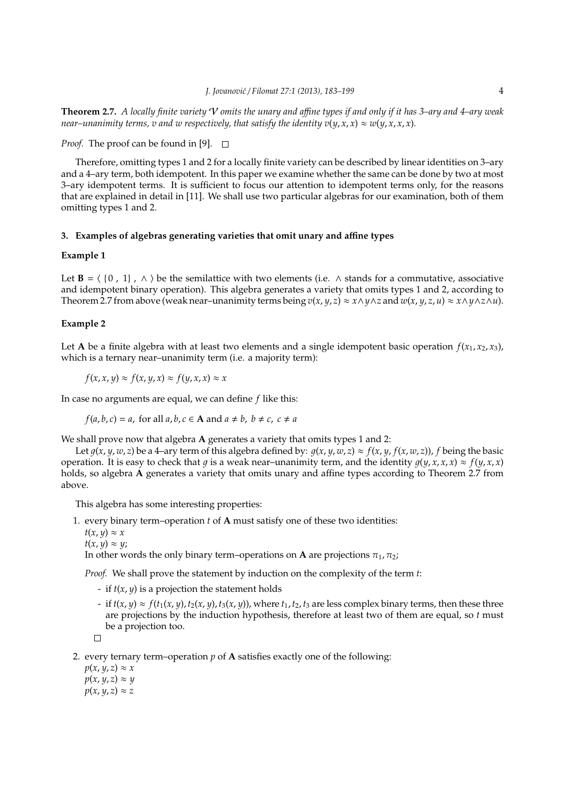**Theorem 2.7.** *A locally finite variety* V *omits the unary and a*ffi*ne types if and only if it has 3–ary and 4–ary weak near–unanimity terms, v and w respectively, that satisfy the identity*  $v(y, x, x) \approx w(y, x, x, x)$ *.* 

*Proof.* The proof can be found in [9].  $\Box$ 

Therefore, omitting types 1 and 2 for a locally finite variety can be described by linear identities on 3–ary and a 4–ary term, both idempotent. In this paper we examine whether the same can be done by two at most 3–ary idempotent terms. It is sufficient to focus our attention to idempotent terms only, for the reasons that are explained in detail in [11]. We shall use two particular algebras for our examination, both of them omitting types 1 and 2.

# **3. Examples of algebras generating varieties that omit unary and a**ffi**ne types**

# **Example 1**

Let **B** =  $\langle$  {0, 1},  $\land$  } be the semilattice with two elements (i.e.  $\land$  stands for a commutative, associative and idempotent binary operation). This algebra generates a variety that omits types 1 and 2, according to Theorem 2.7 from above (weak near–unanimity terms being  $v(x, y, z) \approx x \wedge y \wedge z$  and  $w(x, y, z, u) \approx x \wedge y \wedge z \wedge u$ ).

#### **Example 2**

Let **A** be a finite algebra with at least two elements and a single idempotent basic operation  $f(x_1, x_2, x_3)$ , which is a ternary near–unanimity term (i.e. a majority term):

 $f(x, x, y) \approx f(x, y, x) \approx f(y, x, x) \approx x$ 

In case no arguments are equal, we can define *f* like this:

 $f(a, b, c) = a$ , for all  $a, b, c \in \mathbf{A}$  and  $a \neq b$ ,  $b \neq c$ ,  $c \neq a$ 

We shall prove now that algebra **A** generates a variety that omits types 1 and 2:

Let  $g(x, y, w, z)$  be a 4-ary term of this algebra defined by:  $g(x, y, w, z) \approx f(x, y, f(x, w, z))$ , f being the basic operation. It is easy to check that q is a weak near–unanimity term, and the identity  $q(y, x, x, x) \approx f(y, x, x)$ holds, so algebra **A** generates a variety that omits unary and affine types according to Theorem 2.7 from above.

This algebra has some interesting properties:

1. every binary term–operation *t* of **A** must satisfy one of these two identities:

 $t(x, y) \approx x$ 

 $t(x, y) \approx y;$ 

In other words the only binary term–operations on **A** are projections  $\pi_1$ ,  $\pi_2$ ;

*Proof.* We shall prove the statement by induction on the complexity of the term *t*:

- if  $t(x, y)$  is a projection the statement holds
- $\cdot$  if  $t(x, y) \approx f(t_1(x, y), t_2(x, y), t_3(x, y))$ , where  $t_1, t_2, t_3$  are less complex binary terms, then these three are projections by the induction hypothesis, therefore at least two of them are equal, so *t* must be a projection too.

```
\Box
```
2. every ternary term–operation *p* of **A** satisfies exactly one of the following:

 $p(x, y, z) \approx x$  $p(x, y, z) \approx y$  $p(x, y, z) \approx z$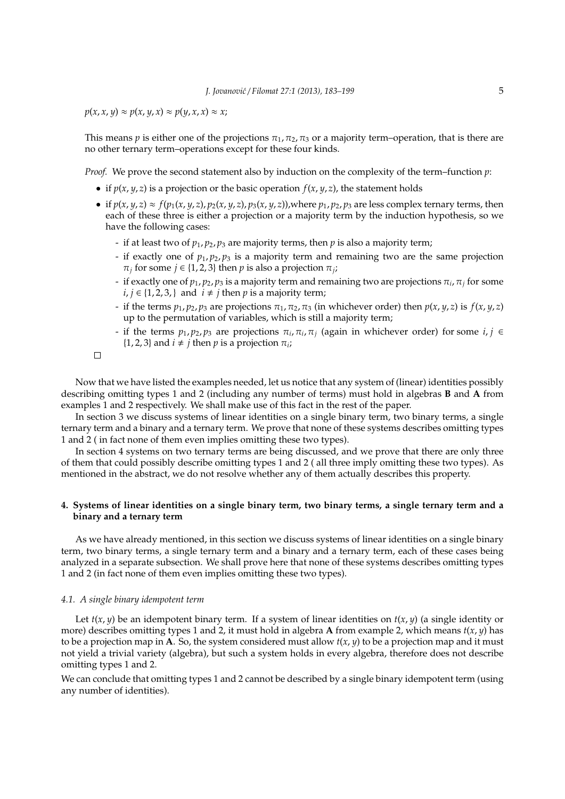$p(x, x, y) \approx p(x, y, x) \approx p(y, x, x) \approx x;$ 

This means *p* is either one of the projections  $\pi_1$ ,  $\pi_2$ ,  $\pi_3$  or a majority term–operation, that is there are no other ternary term–operations except for these four kinds.

*Proof.* We prove the second statement also by induction on the complexity of the term–function *p*:

- if  $p(x, y, z)$  is a projection or the basic operation  $f(x, y, z)$ , the statement holds
- if  $p(x, y, z) \approx f(p_1(x, y, z), p_2(x, y, z), p_3(x, y, z))$ , where  $p_1, p_2, p_3$  are less complex ternary terms, then each of these three is either a projection or a majority term by the induction hypothesis, so we have the following cases:
	- if at least two of  $p_1$ ,  $p_2$ ,  $p_3$  are majority terms, then  $p$  is also a majority term;
	- if exactly one of  $p_1$ ,  $p_2$ ,  $p_3$  is a majority term and remaining two are the same projection  $\pi_j$  for some  $j \in \{1, 2, 3\}$  then  $p$  is also a projection  $\pi_j$ ;
	- if exactly one of  $p_1, p_2, p_3$  is a majority term and remaining two are projections  $\pi_i$ ,  $\pi_j$  for some *i*, *j* ∈ {1, 2, 3, } and *i* ≠ *j* then *p* is a majority term;
	- if the terms  $p_1$ ,  $p_2$ ,  $p_3$  are projections  $\pi_1$ ,  $\pi_2$ ,  $\pi_3$  (in whichever order) then  $p(x, y, z)$  is  $f(x, y, z)$ up to the permutation of variables, which is still a majority term;
	- if the terms  $p_1, p_2, p_3$  are projections  $\pi_i, \pi_i, \pi_j$  (again in whichever order) for some  $i, j \in$  $\{1, 2, 3\}$  and  $i \neq j$  then *p* is a projection  $\pi_i$ ;

 $\Box$ 

Now that we have listed the examples needed, let us notice that any system of (linear) identities possibly describing omitting types 1 and 2 (including any number of terms) must hold in algebras **B** and **A** from examples 1 and 2 respectively. We shall make use of this fact in the rest of the paper.

In section 3 we discuss systems of linear identities on a single binary term, two binary terms, a single ternary term and a binary and a ternary term. We prove that none of these systems describes omitting types 1 and 2 ( in fact none of them even implies omitting these two types).

In section 4 systems on two ternary terms are being discussed, and we prove that there are only three of them that could possibly describe omitting types 1 and 2 ( all three imply omitting these two types). As mentioned in the abstract, we do not resolve whether any of them actually describes this property.

# **4. Systems of linear identities on a single binary term, two binary terms, a single ternary term and a binary and a ternary term**

As we have already mentioned, in this section we discuss systems of linear identities on a single binary term, two binary terms, a single ternary term and a binary and a ternary term, each of these cases being analyzed in a separate subsection. We shall prove here that none of these systems describes omitting types 1 and 2 (in fact none of them even implies omitting these two types).

## *4.1. A single binary idempotent term*

Let  $t(x, y)$  be an idempotent binary term. If a system of linear identities on  $t(x, y)$  (a single identity or more) describes omitting types 1 and 2, it must hold in algebra **A** from example 2, which means  $t(x, y)$  has to be a projection map in **A**. So, the system considered must allow  $t(x, y)$  to be a projection map and it must not yield a trivial variety (algebra), but such a system holds in every algebra, therefore does not describe omitting types 1 and 2.

We can conclude that omitting types 1 and 2 cannot be described by a single binary idempotent term (using any number of identities).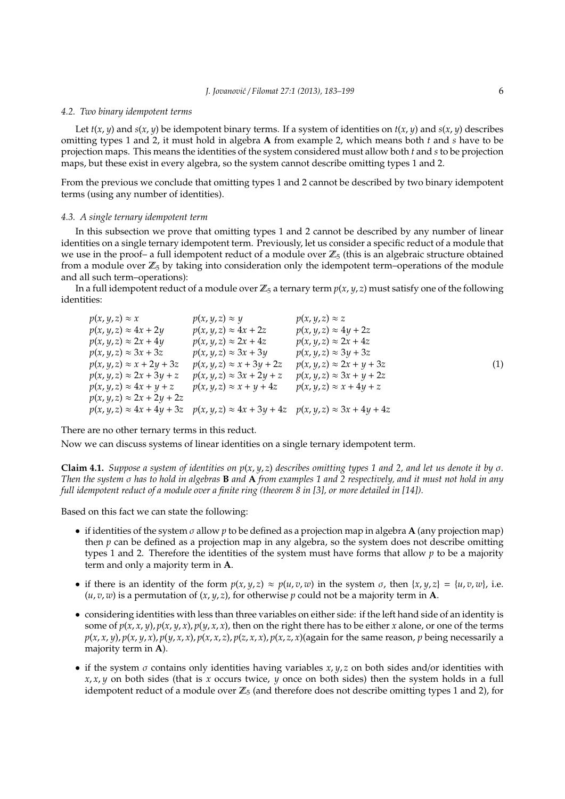#### *4.2. Two binary idempotent terms*

Let  $t(x, y)$  and  $s(x, y)$  be idempotent binary terms. If a system of identities on  $t(x, y)$  and  $s(x, y)$  describes omitting types 1 and 2, it must hold in algebra **A** from example 2, which means both *t* and *s* have to be projection maps. This means the identities of the system considered must allow both *t* and *s* to be projection maps, but these exist in every algebra, so the system cannot describe omitting types 1 and 2.

From the previous we conclude that omitting types 1 and 2 cannot be described by two binary idempotent terms (using any number of identities).

#### *4.3. A single ternary idempotent term*

In this subsection we prove that omitting types 1 and 2 cannot be described by any number of linear identities on a single ternary idempotent term. Previously, let us consider a specific reduct of a module that we use in the proof– a full idempotent reduct of a module over  $\mathbb{Z}_5$  (this is an algebraic structure obtained from a module over  $\mathbb{Z}_5$  by taking into consideration only the idempotent term–operations of the module and all such term–operations):

In a full idempotent reduct of a module over  $\mathbb{Z}_5$  a ternary term  $p(x, y, z)$  must satisfy one of the following identities:

$$
p(x, y, z) \approx x
$$
  
\n
$$
p(x, y, z) \approx 4x + 2y
$$
  
\n
$$
p(x, y, z) \approx 4x + 2z
$$
  
\n
$$
p(x, y, z) \approx 2x + 4y
$$
  
\n
$$
p(x, y, z) \approx 2x + 4z
$$
  
\n
$$
p(x, y, z) \approx 2x + 4z
$$
  
\n
$$
p(x, y, z) \approx 2x + 4z
$$
  
\n
$$
p(x, y, z) \approx 3x + 3z
$$
  
\n
$$
p(x, y, z) \approx 3x + 3y
$$
  
\n
$$
p(x, y, z) \approx 3y + 3z
$$
  
\n
$$
p(x, y, z) \approx x + 2y + 3z
$$
  
\n
$$
p(x, y, z) \approx x + 3y + 2z
$$
  
\n
$$
p(x, y, z) \approx 2x + y + 3z
$$
  
\n
$$
p(x, y, z) \approx 3x + 2y + z
$$
  
\n
$$
p(x, y, z) \approx 3x + y + 2z
$$
  
\n
$$
p(x, y, z) \approx 4x + y + z
$$
  
\n
$$
p(x, y, z) \approx x + y + 4z
$$
  
\n
$$
p(x, y, z) \approx 4x + 4y + 3z
$$
  
\n
$$
p(x, y, z) \approx 4x + 4y + 3z
$$
  
\n
$$
p(x, y, z) \approx 4x + 3y + 4z
$$
  
\n
$$
p(x, y, z) \approx 3x + 4y + 4z
$$
  
\n
$$
p(x, y, z) \approx 3x + 4y + 4z
$$
  
\n
$$
p(x, y, z) \approx 3x + 4y + 4z
$$
  
\n
$$
p(x, y, z) \approx 3x + 4y + 4z
$$
  
\n
$$
p(x, y, z) \approx 4x + 4y + 3z
$$
  
\n
$$
p(x, y, z) \approx 4x + 3y + 4z
$$
<

There are no other ternary terms in this reduct.

Now we can discuss systems of linear identities on a single ternary idempotent term.

**Claim 4.1.** *Suppose a system of identities on p*(*x*, *y*, *z*) *describes omitting types 1 and 2, and let us denote it by* σ*. Then the system* σ *has to hold in algebras* **B** *and* **A** *from examples 1 and 2 respectively, and it must not hold in any full idempotent reduct of a module over a finite ring (theorem 8 in [3], or more detailed in [14]).*

Based on this fact we can state the following:

- if identities of the system σ allow *p* to be defined as a projection map in algebra **A** (any projection map) then *p* can be defined as a projection map in any algebra, so the system does not describe omitting types 1 and 2. Therefore the identities of the system must have forms that allow *p* to be a majority term and only a majority term in **A**.
- if there is an identity of the form  $p(x, y, z) \approx p(u, v, w)$  in the system  $\sigma$ , then  $\{x, y, z\} = \{u, v, w\}$ , i.e. (*u*, *v*, *w*) is a permutation of (*x*, *y*, *z*), for otherwise *p* could not be a majority term in **A**.
- considering identities with less than three variables on either side: if the left hand side of an identity is some of  $p(x, x, y)$ ,  $p(x, y, x)$ ,  $p(y, x, x)$ , then on the right there has to be either *x* alone, or one of the terms  $p(x, x, y)$ ,  $p(x, y, x)$ ,  $p(y, x, x)$ ,  $p(x, x, z)$ ,  $p(z, x, x)$ ,  $p(x, z, x)$  (again for the same reason, p being necessarily a majority term in **A**).
- if the system  $\sigma$  contains only identities having variables  $x, y, z$  on both sides and/or identities with *x*, *x*, *y* on both sides (that is *x* occurs twice, *y* once on both sides) then the system holds in a full idempotent reduct of a module over  $\mathbb{Z}_5$  (and therefore does not describe omitting types 1 and 2), for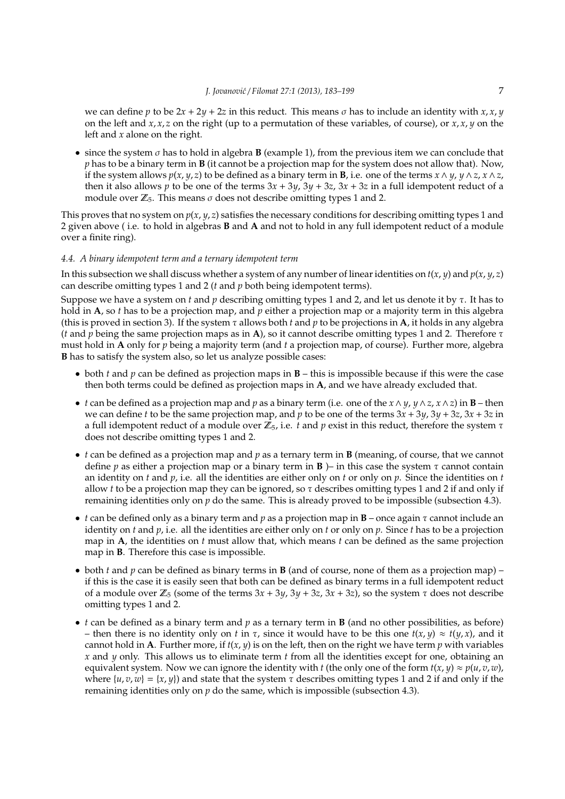we can define *p* to be  $2x + 2y + 2z$  in this reduct. This means *σ* has to include an identity with *x, x, y* on the left and *x*, *x*, *z* on the right (up to a permutation of these variables, of course), or *x*, *x*, *y* on the left and *x* alone on the right.

 $\bullet$  since the system  $\sigma$  has to hold in algebra **B** (example 1), from the previous item we can conclude that *p* has to be a binary term in **B** (it cannot be a projection map for the system does not allow that). Now, if the system allows  $p(x, y, z)$  to be defined as a binary term in **B**, i.e. one of the terms  $x \wedge y$ ,  $y \wedge z$ ,  $x \wedge z$ , then it also allows *p* to be one of the terms  $3x + 3y$ ,  $3y + 3z$ ,  $3x + 3z$  in a full idempotent reduct of a module over  $\mathbb{Z}_5$ . This means  $\sigma$  does not describe omitting types 1 and 2.

This proves that no system on  $p(x, y, z)$  satisfies the necessary conditions for describing omitting types 1 and 2 given above ( i.e. to hold in algebras **B** and **A** and not to hold in any full idempotent reduct of a module over a finite ring).

## *4.4. A binary idempotent term and a ternary idempotent term*

In this subsection we shall discuss whether a system of any number of linear identities on  $t(x, y)$  and  $p(x, y, z)$ can describe omitting types 1 and 2 (*t* and *p* both being idempotent terms).

Suppose we have a system on *t* and *p* describing omitting types 1 and 2, and let us denote it by τ. It has to hold in **A**, so *t* has to be a projection map, and *p* either a projection map or a majority term in this algebra (this is proved in section 3). If the system τ allows both *t* and *p* to be projections in **A**, it holds in any algebra (*t* and *p* being the same projection maps as in **A**), so it cannot describe omitting types 1 and 2. Therefore τ must hold in **A** only for *p* being a majority term (and *t* a projection map, of course). Further more, algebra **B** has to satisfy the system also, so let us analyze possible cases:

- both *t* and *p* can be defined as projection maps in **B** this is impossible because if this were the case then both terms could be defined as projection maps in **A**, and we have already excluded that.
- *t* can be defined as a projection map and *p* as a binary term (i.e. one of the *x*∧ *y*, *y*∧*z*, *x*∧*z*) in **B** then we can define *t* to be the same projection map, and *p* to be one of the terms 3*x* + 3*y*, 3*y* + 3*z*, 3*x* + 3*z* in a full idempotent reduct of a module over  $\mathbb{Z}_5$ , i.e. *t* and *p* exist in this reduct, therefore the system  $\tau$ does not describe omitting types 1 and 2.
- *t* can be defined as a projection map and *p* as a ternary term in **B** (meaning, of course, that we cannot define *p* as either a projection map or a binary term in **B** )– in this case the system  $\tau$  cannot contain an identity on *t* and *p*, i.e. all the identities are either only on *t* or only on *p*. Since the identities on *t* allow *t* to be a projection map they can be ignored, so  $\tau$  describes omitting types 1 and 2 if and only if remaining identities only on *p* do the same. This is already proved to be impossible (subsection 4.3).
- *t* can be defined only as a binary term and *p* as a projection map in **B** once again τ cannot include an identity on *t* and *p*, i.e. all the identities are either only on *t* or only on *p*. Since *t* has to be a projection map in **A**, the identities on *t* must allow that, which means *t* can be defined as the same projection map in **B**. Therefore this case is impossible.
- both *t* and *p* can be defined as binary terms in **B** (and of course, none of them as a projection map) if this is the case it is easily seen that both can be defined as binary terms in a full idempotent reduct of a module over  $\mathbb{Z}_5$  (some of the terms  $3x + 3y$ ,  $3y + 3z$ ,  $3x + 3z$ ), so the system  $\tau$  does not describe omitting types 1 and 2.
- *t* can be defined as a binary term and *p* as a ternary term in **B** (and no other possibilities, as before) – then there is no identity only on *t* in  $\tau$ , since it would have to be this one  $t(x, y) \approx t(y, x)$ , and it cannot hold in **A**. Further more, if  $t(x, y)$  is on the left, then on the right we have term  $p$  with variables *x* and *y* only. This allows us to eliminate term *t* from all the identities except for one, obtaining an equivalent system. Now we can ignore the identity with *t* (the only one of the form  $t(x, y) \approx p(u, v, w)$ , where  $\{u, v, w\} = \{x, y\}$  and state that the system  $\tau$  describes omitting types 1 and 2 if and only if the remaining identities only on  $p$  do the same, which is impossible (subsection 4.3).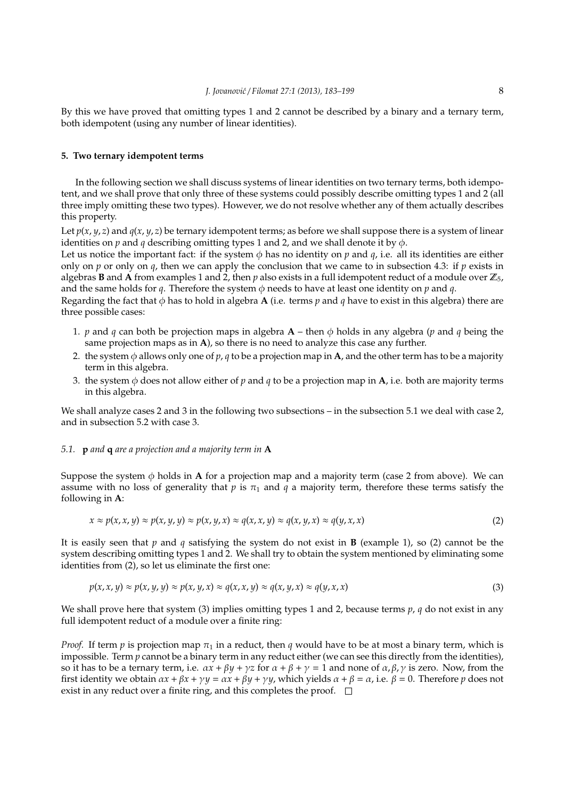By this we have proved that omitting types 1 and 2 cannot be described by a binary and a ternary term, both idempotent (using any number of linear identities).

## **5. Two ternary idempotent terms**

In the following section we shall discuss systems of linear identities on two ternary terms, both idempotent, and we shall prove that only three of these systems could possibly describe omitting types 1 and 2 (all three imply omitting these two types). However, we do not resolve whether any of them actually describes this property.

Let  $p(x, y, z)$  and  $q(x, y, z)$  be ternary idempotent terms; as before we shall suppose there is a system of linear identities on  $p$  and  $q$  describing omitting types 1 and 2, and we shall denote it by  $\phi$ .

Let us notice the important fact: if the system  $\phi$  has no identity on *p* and *q*, i.e. all its identities are either only on  $p$  or only on  $q$ , then we can apply the conclusion that we came to in subsection 4.3: if  $p$  exists in algebras **B** and **A** from examples 1 and 2, then  $p$  also exists in a full idempotent reduct of a module over  $\mathbb{Z}_5$ , and the same holds for  $q$ . Therefore the system  $\phi$  needs to have at least one identity on  $p$  and  $q$ .

Regarding the fact that  $\phi$  has to hold in algebra **A** (i.e. terms *p* and *q* have to exist in this algebra) there are three possible cases:

- 1. *p* and *q* can both be projection maps in algebra **A** then  $\phi$  holds in any algebra (*p* and *q* being the same projection maps as in **A**), so there is no need to analyze this case any further.
- 2. the system  $\phi$  allows only one of  $p$ ,  $q$  to be a projection map in **A**, and the other term has to be a majority term in this algebra.
- 3. the system  $\phi$  does not allow either of p and q to be a projection map in **A**, i.e. both are majority terms in this algebra.

We shall analyze cases 2 and 3 in the following two subsections – in the subsection 5.1 we deal with case 2, and in subsection 5.2 with case 3.

#### *5.1.* **p** *and* **q** *are a projection and a majority term in* **A**

Suppose the system  $\phi$  holds in **A** for a projection map and a majority term (case 2 from above). We can assume with no loss of generality that  $p$  is  $\pi_1$  and  $q$  a majority term, therefore these terms satisfy the following in **A**:

$$
x \approx p(x, x, y) \approx p(x, y, y) \approx p(x, y, x) \approx q(x, x, y) \approx q(x, y, x) \approx q(y, x, x)
$$
 (2)

It is easily seen that *p* and *q* satisfying the system do not exist in **B** (example 1), so (2) cannot be the system describing omitting types 1 and 2. We shall try to obtain the system mentioned by eliminating some identities from (2), so let us eliminate the first one:

$$
p(x, x, y) \approx p(x, y, y) \approx p(x, y, x) \approx q(x, x, y) \approx q(x, y, x) \approx q(y, x, x)
$$
\n(3)

We shall prove here that system (3) implies omitting types 1 and 2, because terms *p*, *q* do not exist in any full idempotent reduct of a module over a finite ring:

*Proof.* If term *p* is projection map  $\pi_1$  in a reduct, then *q* would have to be at most a binary term, which is impossible. Term  $p$  cannot be a binary term in any reduct either (we can see this directly from the identities), so it has to be a ternary term, i.e.  $\alpha x + \beta y + \gamma z$  for  $\alpha + \beta + \gamma = 1$  and none of  $\alpha, \beta, \gamma$  is zero. Now, from the first identity we obtain  $\alpha x + \beta x + \gamma y = \alpha x + \beta y + \gamma y$ , which yields  $\alpha + \beta = \alpha$ , i.e.  $\beta = 0$ . Therefore *p* does not exist in any reduct over a finite ring, and this completes the proof.  $\square$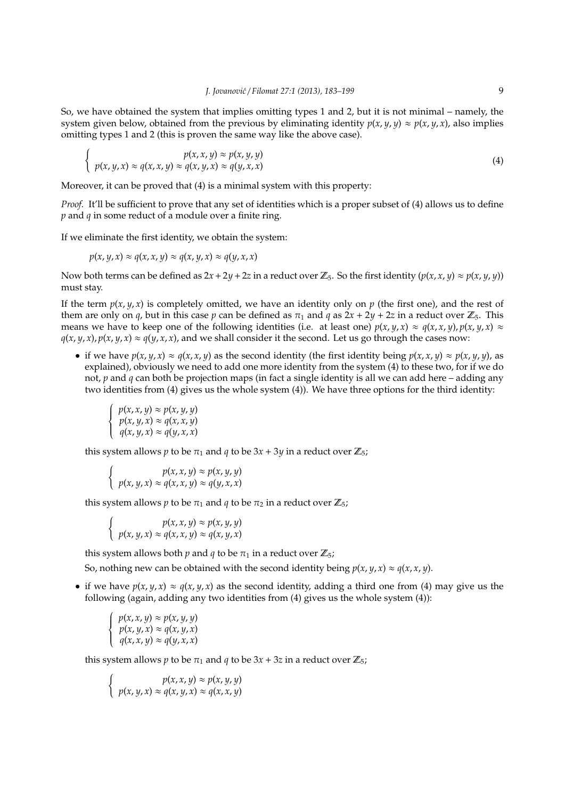So, we have obtained the system that implies omitting types 1 and 2, but it is not minimal – namely, the system given below, obtained from the previous by eliminating identity  $p(x, y, y) \approx p(x, y, x)$ , also implies omitting types 1 and 2 (this is proven the same way like the above case).

$$
\begin{cases}\n p(x, y, x) \approx p(x, y, y) \\
 p(x, y, x) \approx q(x, y, x) \approx q(y, x, x)\n\end{cases}
$$
\n(4)

Moreover, it can be proved that (4) is a minimal system with this property:

*Proof.* It'll be sufficient to prove that any set of identities which is a proper subset of (4) allows us to define *p* and *q* in some reduct of a module over a finite ring.

If we eliminate the first identity, we obtain the system:

$$
p(x, y, x) \approx q(x, x, y) \approx q(x, y, x) \approx q(y, x, x)
$$

Now both terms can be defined as  $2x + 2y + 2z$  in a reduct over  $\mathbb{Z}_5$ . So the first identity  $(p(x, x, y) \approx p(x, y, y))$ must stay.

If the term  $p(x, y, x)$  is completely omitted, we have an identity only on  $p$  (the first one), and the rest of them are only on *q*, but in this case *p* can be defined as  $\pi_1$  and *q* as  $2x + 2y + 2z$  in a reduct over  $\mathbb{Z}_5$ . This means we have to keep one of the following identities (i.e. at least one)  $p(x, y, x) \approx q(x, x, y)$ ,  $p(x, y, x) \approx$  $q(x, y, x)$ ,  $p(x, y, x) \approx q(y, x, x)$ , and we shall consider it the second. Let us go through the cases now:

• if we have  $p(x, y, x) \approx q(x, x, y)$  as the second identity (the first identity being  $p(x, x, y) \approx p(x, y, y)$ , as explained), obviously we need to add one more identity from the system (4) to these two, for if we do not, *p* and *q* can both be projection maps (in fact a single identity is all we can add here – adding any two identities from (4) gives us the whole system (4)). We have three options for the third identity:

$$
\begin{cases}\np(x, x, y) \approx p(x, y, y) \\
p(x, y, x) \approx q(x, x, y) \\
q(x, y, x) \approx q(y, x, x)\n\end{cases}
$$

this system allows *p* to be  $\pi_1$  and *q* to be  $3x + 3y$  in a reduct over  $\mathbb{Z}_5$ ;

$$
\begin{cases}\n p(x, x, y) \approx p(x, y, y) \\
 p(x, y, x) \approx q(x, x, y) \approx q(y, x, x)\n\end{cases}
$$

this system allows *p* to be  $\pi_1$  and *q* to be  $\pi_2$  in a reduct over  $\mathbb{Z}_5$ ;

$$
\begin{cases}\n p(x, x, y) \approx p(x, y, y) \\
 p(x, y, x) \approx q(x, x, y) \approx q(x, y, x)\n\end{cases}
$$

this system allows both *p* and *q* to be  $\pi_1$  in a reduct over  $\mathbb{Z}_5$ ;

So, nothing new can be obtained with the second identity being  $p(x, y, x) \approx q(x, x, y)$ .

• if we have  $p(x, y, x) \approx q(x, y, x)$  as the second identity, adding a third one from (4) may give us the following (again, adding any two identities from (4) gives us the whole system (4)):

$$
\begin{cases}\np(x, x, y) \approx p(x, y, y) \\
p(x, y, x) \approx q(x, y, x) \\
q(x, x, y) \approx q(y, x, x)\n\end{cases}
$$

this system allows *p* to be  $\pi_1$  and *q* to be  $3x + 3z$  in a reduct over  $\mathbb{Z}_5$ ;

$$
\begin{cases}\n p(x, x, y) \approx p(x, y, y) \\
 p(x, y, x) \approx q(x, y, x) \approx q(x, x, y)\n\end{cases}
$$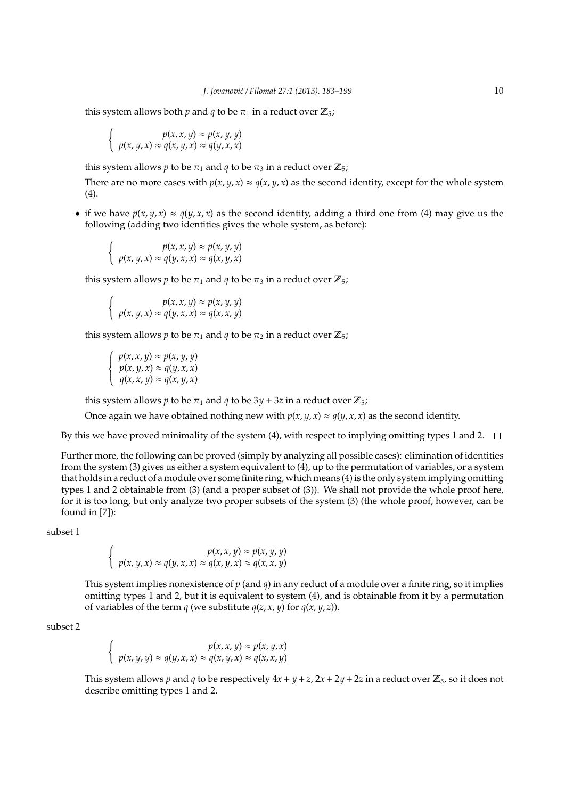this system allows both *p* and *q* to be  $\pi_1$  in a reduct over  $\mathbb{Z}_5$ ;

$$
\begin{cases}\n p(x, x, y) \approx p(x, y, y) \\
 p(x, y, x) \approx q(x, y, x) \approx q(y, x, x)\n\end{cases}
$$

this system allows *p* to be  $\pi_1$  and *q* to be  $\pi_3$  in a reduct over  $\mathbb{Z}_5$ ;

There are no more cases with  $p(x, y, x) \approx q(x, y, x)$  as the second identity, except for the whole system (4).

• if we have  $p(x, y, x) \approx q(y, x, x)$  as the second identity, adding a third one from (4) may give us the following (adding two identities gives the whole system, as before):

$$
\begin{cases}\n p(x, x, y) \approx p(x, y, y) \\
 p(x, y, x) \approx q(y, x, x) \approx q(x, y, x)\n\end{cases}
$$

this system allows *p* to be  $\pi_1$  and *q* to be  $\pi_3$  in a reduct over  $\mathbb{Z}_5$ ;

$$
\begin{cases}\n p(x, x, y) \approx p(x, y, y) \\
 p(x, y, x) \approx q(y, x, x) \approx q(x, x, y)\n\end{cases}
$$

this system allows *p* to be  $\pi_1$  and *q* to be  $\pi_2$  in a reduct over  $\mathbb{Z}_5$ ;

$$
\begin{cases}\np(x, x, y) \approx p(x, y, y) \\
p(x, y, x) \approx q(y, x, x) \\
q(x, x, y) \approx q(x, y, x)\n\end{cases}
$$

this system allows *p* to be  $\pi_1$  and *q* to be  $3y + 3z$  in a reduct over  $\mathbb{Z}_5$ ;

Once again we have obtained nothing new with  $p(x, y, x) \approx q(y, x, x)$  as the second identity.

By this we have proved minimality of the system (4), with respect to implying omitting types 1 and 2.  $\Box$ 

Further more, the following can be proved (simply by analyzing all possible cases): elimination of identities from the system (3) gives us either a system equivalent to (4), up to the permutation of variables, or a system that holds in a reduct of a module over some finite ring, which means (4) is the only system implying omitting types 1 and 2 obtainable from (3) (and a proper subset of (3)). We shall not provide the whole proof here, for it is too long, but only analyze two proper subsets of the system (3) (the whole proof, however, can be found in [7]):

subset 1

$$
\begin{cases}\n p(x, x, y) \approx p(x, y, y) \\
 p(x, y, x) \approx q(y, x, x) \approx q(x, y, x) \approx q(x, x, y)\n\end{cases}
$$

This system implies nonexistence of *p* (and *q*) in any reduct of a module over a finite ring, so it implies omitting types 1 and 2, but it is equivalent to system (4), and is obtainable from it by a permutation of variables of the term *q* (we substitute  $q(z, x, y)$  for  $q(x, y, z)$ ).

subset 2

$$
\begin{cases}\n p(x, x, y) \approx p(x, y, x) \\
 p(x, y, y) \approx q(y, x, x) \approx q(x, y, x) \approx q(x, x, y)\n\end{cases}
$$

This system allows *p* and *q* to be respectively  $4x + y + z$ ,  $2x + 2y + 2z$  in a reduct over  $\mathbb{Z}_5$ , so it does not describe omitting types 1 and 2.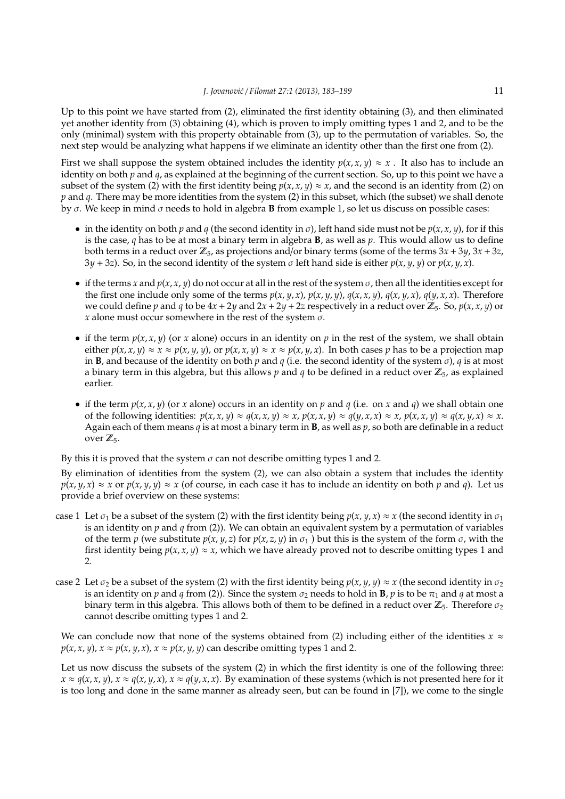Up to this point we have started from (2), eliminated the first identity obtaining (3), and then eliminated yet another identity from (3) obtaining (4), which is proven to imply omitting types 1 and 2, and to be the only (minimal) system with this property obtainable from (3), up to the permutation of variables. So, the next step would be analyzing what happens if we eliminate an identity other than the first one from (2).

First we shall suppose the system obtained includes the identity  $p(x, x, y) \approx x$ . It also has to include an identity on both *p* and *q*, as explained at the beginning of the current section. So, up to this point we have a subset of the system (2) with the first identity being  $p(x, x, y) \approx x$ , and the second is an identity from (2) on *p* and *q*. There may be more identities from the system (2) in this subset, which (the subset) we shall denote by σ. We keep in mind σ needs to hold in algebra **B** from example 1, so let us discuss on possible cases:

- in the identity on both *p* and *q* (the second identity in *σ*), left hand side must not be  $p(x, x, y)$ , for if this is the case, *q* has to be at most a binary term in algebra **B**, as well as *p*. This would allow us to define both terms in a reduct over  $\mathbb{Z}_5$ , as projections and/or binary terms (some of the terms  $3x + 3y$ ,  $3x + 3z$ , 3*y* + 3*z*). So, in the second identity of the system σ left hand side is either *p*(*x*, *y*, *y*) or *p*(*x*, *y*, *x*).
- if the terms *x* and  $p(x, x, y)$  do not occur at all in the rest of the system  $\sigma$ , then all the identities except for the first one include only some of the terms  $p(x, y, x)$ ,  $p(x, y, y)$ ,  $q(x, x, y)$ ,  $q(x, y, x)$ ,  $q(y, x, x)$ . Therefore we could define *p* and *q* to be  $4x + 2y$  and  $2x + 2y + 2z$  respectively in a reduct over  $\mathbb{Z}_5$ . So,  $p(x, x, y)$  or *x* alone must occur somewhere in the rest of the system  $\sigma$ .
- if the term  $p(x, x, y)$  (or x alone) occurs in an identity on p in the rest of the system, we shall obtain either  $p(x, x, y) \approx x \approx p(x, y, y)$ , or  $p(x, x, y) \approx x \approx p(x, y, x)$ . In both cases p has to be a projection map in **B**, and because of the identity on both *p* and *q* (i.e. the second identity of the system  $\sigma$ ), *q* is at most a binary term in this algebra, but this allows  $p$  and  $q$  to be defined in a reduct over  $\mathbb{Z}_5$ , as explained earlier.
- if the term  $p(x, x, y)$  (or x alone) occurs in an identity on p and q (i.e. on x and q) we shall obtain one of the following identities:  $p(x, x, y) \approx q(x, x, y) \approx x$ ,  $p(x, x, y) \approx q(y, x, x) \approx x$ ,  $p(x, x, y) \approx q(x, y, x) \approx x$ . Again each of them means *q* is at most a binary term in **B**, as well as *p*, so both are definable in a reduct over  $\mathbb{Z}_5$ .

By this it is proved that the system  $\sigma$  can not describe omitting types 1 and 2.

By elimination of identities from the system (2), we can also obtain a system that includes the identity  $p(x, y, x) \approx x$  or  $p(x, y, y) \approx x$  (of course, in each case it has to include an identity on both *p* and *q*). Let us provide a brief overview on these systems:

- case 1 Let  $\sigma_1$  be a subset of the system (2) with the first identity being  $p(x, y, x) \approx x$  (the second identity in  $\sigma_1$ is an identity on *p* and *q* from (2)). We can obtain an equivalent system by a permutation of variables of the term *p* (we substitute  $p(x, y, z)$  for  $p(x, z, y)$  in  $\sigma_1$ ) but this is the system of the form  $\sigma$ , with the first identity being  $p(x, x, y) \approx x$ , which we have already proved not to describe omitting types 1 and 2.
- case 2 Let  $\sigma_2$  be a subset of the system (2) with the first identity being  $p(x, y, y) \approx x$  (the second identity in  $\sigma_2$ is an identity on *p* and *q* from (2)). Since the system  $\sigma_2$  needs to hold in **B**, *p* is to be  $\pi_1$  and *q* at most a binary term in this algebra. This allows both of them to be defined in a reduct over  $\mathbb{Z}_5$ . Therefore  $\sigma_2$ cannot describe omitting types 1 and 2.

We can conclude now that none of the systems obtained from (2) including either of the identities  $x \approx$  $p(x, x, y)$ ,  $x \approx p(x, y, x)$ ,  $x \approx p(x, y, y)$  can describe omitting types 1 and 2.

Let us now discuss the subsets of the system (2) in which the first identity is one of the following three:  $x \approx q(x, x, y)$ ,  $x \approx q(x, y, x)$ ,  $x \approx q(y, x, x)$ . By examination of these systems (which is not presented here for it is too long and done in the same manner as already seen, but can be found in [7]), we come to the single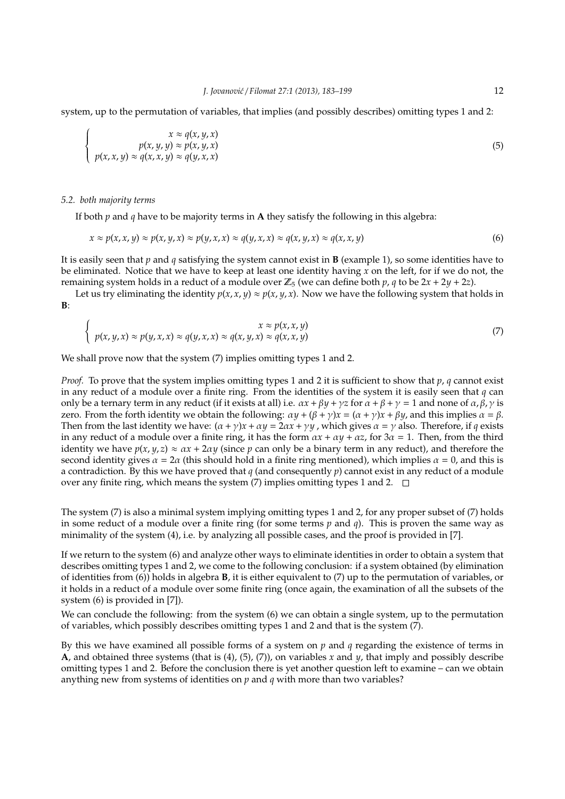system, up to the permutation of variables, that implies (and possibly describes) omitting types 1 and 2:

$$
\begin{cases}\nx \approx q(x, y, x) \\
p(x, y, y) \approx p(x, y, x) \\
p(x, x, y) \approx q(x, x, y) \approx q(y, x, x)\n\end{cases}
$$
\n(5)

*5.2. both majority terms*

If both *p* and *q* have to be majority terms in **A** they satisfy the following in this algebra:

$$
x \approx p(x, x, y) \approx p(x, y, x) \approx p(y, x, x) \approx q(y, x, x) \approx q(x, y, x) \approx q(x, x, y)
$$
\n
$$
(6)
$$

It is easily seen that *p* and *q* satisfying the system cannot exist in **B** (example 1), so some identities have to be eliminated. Notice that we have to keep at least one identity having *x* on the left, for if we do not, the remaining system holds in a reduct of a module over  $\mathbb{Z}_5$  (we can define both  $p$ ,  $q$  to be  $2x + 2y + 2z$ ).

Let us try eliminating the identity  $p(x, x, y) \approx p(x, y, x)$ . Now we have the following system that holds in **B**:

$$
\begin{cases}\nx \approx p(x, x, y) \\
p(x, y, x) \approx p(y, x, x) \approx q(y, x, x) \approx q(x, y, x) \approx q(x, x, y)\n\end{cases}
$$
\n(7)

We shall prove now that the system  $(7)$  implies omitting types 1 and 2.

*Proof.* To prove that the system implies omitting types 1 and 2 it is sufficient to show that *p*, *q* cannot exist in any reduct of a module over a finite ring. From the identities of the system it is easily seen that *q* can only be a ternary term in any reduct (if it exists at all) i.e.  $\alpha x + \beta y + \gamma z$  for  $\alpha + \beta + \gamma = 1$  and none of  $\alpha, \beta, \gamma$  is zero. From the forth identity we obtain the following:  $\alpha y + (\beta + \gamma)x = (\alpha + \gamma)x + \beta y$ , and this implies  $\alpha = \beta$ . Then from the last identity we have:  $(\alpha + \gamma)x + \alpha y = 2\alpha x + \gamma y$ , which gives  $\alpha = \gamma$  also. Therefore, if *q* exists in any reduct of a module over a finite ring, it has the form  $ax + ay + \alpha z$ , for  $3\alpha = 1$ . Then, from the third identity we have  $p(x, y, z) \approx \alpha x + 2\alpha y$  (since  $p$  can only be a binary term in any reduct), and therefore the second identity gives  $\alpha = 2\alpha$  (this should hold in a finite ring mentioned), which implies  $\alpha = 0$ , and this is a contradiction. By this we have proved that *q* (and consequently *p*) cannot exist in any reduct of a module over any finite ring, which means the system  $(7)$  implies omitting types 1 and 2.  $\square$ 

The system (7) is also a minimal system implying omitting types 1 and 2, for any proper subset of (7) holds in some reduct of a module over a finite ring (for some terms *p* and *q*). This is proven the same way as minimality of the system (4), i.e. by analyzing all possible cases, and the proof is provided in [7].

If we return to the system (6) and analyze other ways to eliminate identities in order to obtain a system that describes omitting types 1 and 2, we come to the following conclusion: if a system obtained (by elimination of identities from (6)) holds in algebra **B**, it is either equivalent to (7) up to the permutation of variables, or it holds in a reduct of a module over some finite ring (once again, the examination of all the subsets of the system (6) is provided in [7]).

We can conclude the following: from the system (6) we can obtain a single system, up to the permutation of variables, which possibly describes omitting types 1 and 2 and that is the system (7).

By this we have examined all possible forms of a system on *p* and *q* regarding the existence of terms in **A**, and obtained three systems (that is  $(4)$ ,  $(5)$ ,  $(7)$ ), on variables *x* and *y*, that imply and possibly describe omitting types 1 and 2. Before the conclusion there is yet another question left to examine – can we obtain anything new from systems of identities on *p* and *q* with more than two variables?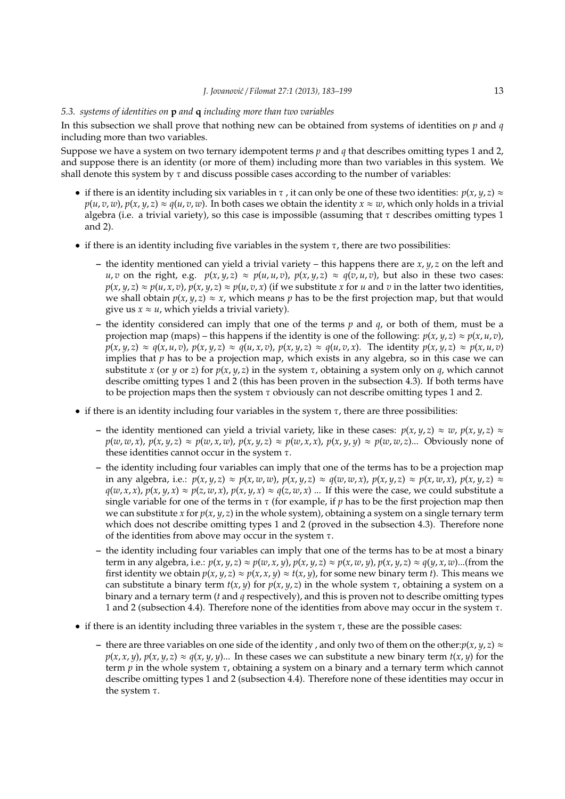## *5.3. systems of identities on* **p** *and* **q** *including more than two variables*

In this subsection we shall prove that nothing new can be obtained from systems of identities on *p* and *q* including more than two variables.

Suppose we have a system on two ternary idempotent terms *p* and *q* that describes omitting types 1 and 2, and suppose there is an identity (or more of them) including more than two variables in this system. We shall denote this system by  $\tau$  and discuss possible cases according to the number of variables:

- if there is an identity including six variables in  $\tau$ , it can only be one of these two identities:  $p(x, y, z) \approx$  $p(u, v, w)$ ,  $p(x, y, z) \approx q(u, v, w)$ . In both cases we obtain the identity  $x \approx w$ , which only holds in a trivial algebra (i.e. a trivial variety), so this case is impossible (assuming that  $\tau$  describes omitting types 1 and 2).
- if there is an identity including five variables in the system  $\tau$ , there are two possibilities:
	- **–** the identity mentioned can yield a trivial variety this happens there are *x*, *y*, *z* on the left and u, v on the right, e.g.  $p(x, y, z) \approx p(u, u, v)$ ,  $p(x, y, z) \approx q(v, u, v)$ , but also in these two cases:  $p(x, y, z) \approx p(u, x, v)$ ,  $p(x, y, z) \approx p(u, v, x)$  (if we substitute x for u and v in the latter two identities, we shall obtain  $p(x, y, z) \approx x$ , which means p has to be the first projection map, but that would give us  $x \approx u$ , which yields a trivial variety).
	- **–** the identity considered can imply that one of the terms *p* and *q*, or both of them, must be a projection map (maps) – this happens if the identity is one of the following:  $p(x, y, z) \approx p(x, u, v)$ ,  $p(x, y, z) \approx q(x, u, v)$ ,  $p(x, y, z) \approx q(u, x, v)$ ,  $p(x, y, z) \approx q(u, v, x)$ . The identity  $p(x, y, z) \approx p(x, u, v)$ implies that *p* has to be a projection map, which exists in any algebra, so in this case we can substitute *x* (or *y* or *z*) for  $p(x, y, z)$  in the system  $\tau$ , obtaining a system only on *q*, which cannot describe omitting types 1 and 2 (this has been proven in the subsection 4.3). If both terms have to be projection maps then the system  $\tau$  obviously can not describe omitting types 1 and 2.
- if there is an identity including four variables in the system  $\tau$ , there are three possibilities:
	- **−** the identity mentioned can yield a trivial variety, like in these cases:  $p(x, y, z) ≈ w$ ,  $p(x, y, z) ≈$  $p(w, w, x)$ ,  $p(x, y, z) \approx p(w, x, w)$ ,  $p(x, y, z) \approx p(w, x, x)$ ,  $p(x, y, y) \approx p(w, w, z)$ ... Obviously none of these identities cannot occur in the system  $\tau$ .
	- **–** the identity including four variables can imply that one of the terms has to be a projection map in any algebra, i.e.:  $p(x, y, z) \approx p(x, w, w)$ ,  $p(x, y, z) \approx q(w, w, x)$ ,  $p(x, y, z) \approx p(x, w, x)$ ,  $p(x, y, z) \approx$  $q(w, x, x)$ ,  $p(x, y, x) \approx p(z, w, x)$ ,  $p(x, y, x) \approx q(z, w, x)$  ... If this were the case, we could substitute a single variable for one of the terms in  $\tau$  (for example, if  $p$  has to be the first projection map then we can substitute *x* for  $p(x, y, z)$  in the whole system), obtaining a system on a single ternary term which does not describe omitting types 1 and 2 (proved in the subsection 4.3). Therefore none of the identities from above may occur in the system τ.
	- **–** the identity including four variables can imply that one of the terms has to be at most a binary term in any algebra, i.e.:  $p(x, y, z) \approx p(w, x, y)$ ,  $p(x, y, z) \approx p(x, w, y)$ ,  $p(x, y, z) \approx q(y, x, w)$ ...(from the first identity we obtain  $p(x, y, z) \approx p(x, x, y) \approx t(x, y)$ , for some new binary term *t*). This means we can substitute a binary term  $t(x, y)$  for  $p(x, y, z)$  in the whole system  $\tau$ , obtaining a system on a binary and a ternary term (*t* and *q* respectively), and this is proven not to describe omitting types 1 and 2 (subsection 4.4). Therefore none of the identities from above may occur in the system τ.
- if there is an identity including three variables in the system  $\tau$ , these are the possible cases:
	- **–** there are three variables on one side of the identity , and only two of them on the other:*p*(*x*, *y*, *z*) ≈  $p(x, x, y)$ ,  $p(x, y, z) \approx q(x, y, y)$ ... In these cases we can substitute a new binary term  $t(x, y)$  for the term *p* in the whole system τ, obtaining a system on a binary and a ternary term which cannot describe omitting types 1 and 2 (subsection 4.4). Therefore none of these identities may occur in the system  $\tau$ .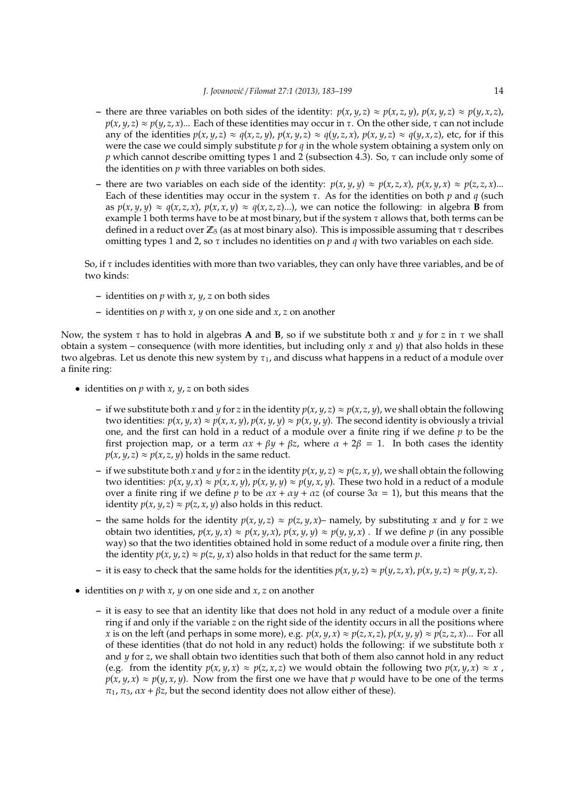- there are three variables on both sides of the identity:  $p(x, y, z) \approx p(x, z, y)$ ,  $p(x, y, z) \approx p(y, x, z)$ , *p*(*x*, *y*, *z*)  $\approx$  *p*(*y*, *z*, *x*)... Each of these identities may occur in τ. On the other side, τ can not include any of the identities  $p(x, y, z) \approx q(x, z, y)$ ,  $p(x, y, z) \approx q(y, z, x)$ ,  $p(x, y, z) \approx q(y, x, z)$ , etc, for if this were the case we could simply substitute  $p$  for  $q$  in the whole system obtaining a system only on *p* which cannot describe omitting types 1 and 2 (subsection 4.3). So, τ can include only some of the identities on *p* with three variables on both sides.
- there are two variables on each side of the identity:  $p(x, y, y) \approx p(x, z, x)$ ,  $p(x, y, x) \approx p(z, z, x)$ ... Each of these identities may occur in the system  $\tau$ . As for the identities on both  $p$  and  $q$  (such as  $p(x, y, y) \approx q(x, z, x)$ ,  $p(x, x, y) \approx q(x, z, z)$ ...), we can notice the following: in algebra **B** from example 1 both terms have to be at most binary, but if the system  $\tau$  allows that, both terms can be defined in a reduct over  $\mathbb{Z}_5$  (as at most binary also). This is impossible assuming that  $\tau$  describes omitting types 1 and 2, so τ includes no identities on *p* and *q* with two variables on each side.

So, if  $\tau$  includes identities with more than two variables, they can only have three variables, and be of two kinds:

- **–** identities on *p* with *x*, *y*, *z* on both sides
- **–** identities on *p* with *x*, *y* on one side and *x*, *z* on another

Now, the system τ has to hold in algebras **A** and **B**, so if we substitute both *x* and *y* for *z* in τ we shall obtain a system – consequence (with more identities, but including only *x* and *y*) that also holds in these two algebras. Let us denote this new system by  $\tau_1$ , and discuss what happens in a reduct of a module over a finite ring:

- identities on  $p$  with  $x$ ,  $y$ ,  $z$  on both sides
	- **–** if we substitute both *x* and *y* for *z* in the identity *p*(*x*, *y*, *z*) ≈ *p*(*x*, *z*, *y*), we shall obtain the following two identities:  $p(x, y, x) \approx p(x, x, y)$ ,  $p(x, y, y) \approx p(x, y, y)$ . The second identity is obviously a trivial one, and the first can hold in a reduct of a module over a finite ring if we define *p* to be the first projection map, or a term  $\alpha x + \beta y + \beta z$ , where  $\alpha + 2\beta = 1$ . In both cases the identity  $p(x, y, z) \approx p(x, z, y)$  holds in the same reduct.
	- **–** if we substitute both *x* and *y* for *z* in the identity *p*(*x*, *y*, *z*) ≈ *p*(*z*, *x*, *y*), we shall obtain the following two identities:  $p(x, y, x) \approx p(x, x, y)$ ,  $p(x, y, y) \approx p(y, x, y)$ . These two hold in a reduct of a module over a finite ring if we define *p* to be  $ax + ay + az$  (of course  $3a = 1$ ), but this means that the identity  $p(x, y, z) \approx p(z, x, y)$  also holds in this reduct.
	- **–** the same holds for the identity *p*(*x*, *y*, *z*) ≈ *p*(*z*, *y*, *x*)– namely, by substituting *x* and *y* for *z* we obtain two identities,  $p(x, y, x) \approx p(x, y, x)$ ,  $p(x, y, y) \approx p(y, y, x)$ . If we define  $p$  (in any possible way) so that the two identities obtained hold in some reduct of a module over a finite ring, then the identity  $p(x, y, z) \approx p(z, y, x)$  also holds in that reduct for the same term  $p$ .
	- it is easy to check that the same holds for the identities  $p(x, y, z) \approx p(y, z, x)$ ,  $p(x, y, z) \approx p(y, x, z)$ .
- identities on *p* with *x*, *y* on one side and *x*, *z* on another
	- **–** it is easy to see that an identity like that does not hold in any reduct of a module over a finite ring if and only if the variable *z* on the right side of the identity occurs in all the positions where x is on the left (and perhaps in some more), e.g.  $p(x, y, x) \approx p(z, x, z)$ ,  $p(x, y, y) \approx p(z, z, x)$ ... For all of these identities (that do not hold in any reduct) holds the following: if we substitute both *x* and *y* for *z*, we shall obtain two identities such that both of them also cannot hold in any reduct (e.g. from the identity  $p(x, y, x) \approx p(z, x, z)$  we would obtain the following two  $p(x, y, x) \approx x$ ,  $p(x, y, x) \approx p(y, x, y)$ . Now from the first one we have that *p* would have to be one of the terms  $\pi_1$ ,  $\pi_3$ ,  $\alpha x + \beta z$ , but the second identity does not allow either of these).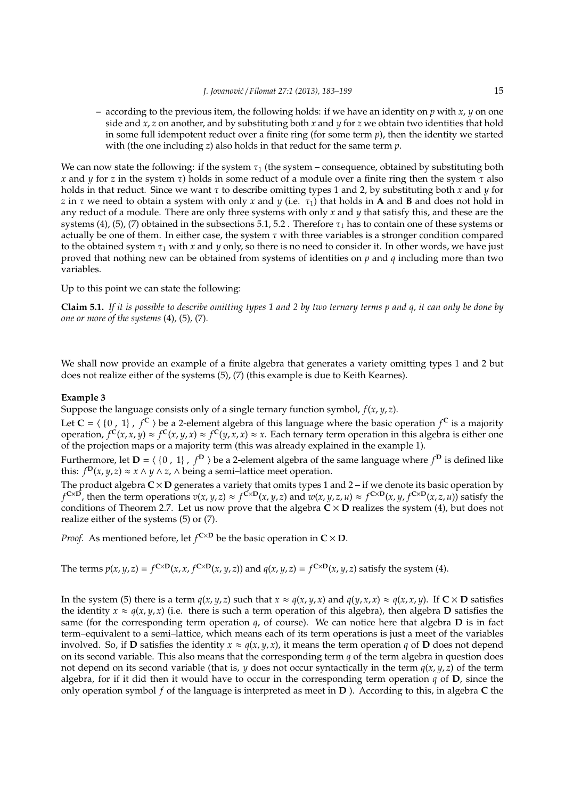**–** according to the previous item, the following holds: if we have an identity on *p* with *x*, *y* on one side and *x*, *z* on another, and by substituting both *x* and *y* for *z* we obtain two identities that hold in some full idempotent reduct over a finite ring (for some term *p*), then the identity we started with (the one including *z*) also holds in that reduct for the same term *p*.

We can now state the following: if the system  $\tau_1$  (the system – consequence, obtained by substituting both *x* and *y* for *z* in the system τ) holds in some reduct of a module over a finite ring then the system τ also holds in that reduct. Since we want τ to describe omitting types 1 and 2, by substituting both *x* and *y* for *z* in  $\tau$  we need to obtain a system with only *x* and *y* (i.e.  $\tau_1$ ) that holds in **A** and **B** and does not hold in any reduct of a module. There are only three systems with only *x* and *y* that satisfy this, and these are the systems (4), (5), (7) obtained in the subsections 5.1, 5.2. Therefore  $\tau_1$  has to contain one of these systems or actually be one of them. In either case, the system  $\tau$  with three variables is a stronger condition compared to the obtained system  $\tau_1$  with *x* and *y* only, so there is no need to consider it. In other words, we have just proved that nothing new can be obtained from systems of identities on *p* and *q* including more than two variables.

Up to this point we can state the following:

**Claim 5.1.** *If it is possible to describe omitting types 1 and 2 by two ternary terms p and q, it can only be done by one or more of the systems* (4)*,* (5)*,* (7)*.*

We shall now provide an example of a finite algebra that generates a variety omitting types 1 and 2 but does not realize either of the systems (5), (7) (this example is due to Keith Kearnes).

## **Example 3**

Suppose the language consists only of a single ternary function symbol,  $f(x, y, z)$ .

Let  $C = \langle \{0, 1\}, f^C \rangle$  be a 2-element algebra of this language where the basic operation  $f^C$  is a majority operation,  $f^C(x, x, y) \approx f^C(x, y, x) \approx f^C(y, x, x) \approx x$ . Each ternary term operation in this algebra is either one of the projection maps or a majority term (this was already explained in the example 1).

Furthermore, let  $D = \langle \{0, 1\}, f^D \rangle$  be a 2-element algebra of the same language where  $f^D$  is defined like this: *f*<sup>D</sup>(*x*, *y*, *z*) ≈ *x* ∧ *y* ∧ *z*, ∧ being a semi–lattice meet operation.

The product algebra  $C \times D$  generates a variety that omits types 1 and 2 – if we denote its basic operation by  $f^{C\times D}$ , then the term operations  $v(x,y,z)\approx f^{C\times D}(x,y,z)$  and  $w(x,y,z,u)\approx f^{C\times D}(x,y,f^{C\times D}(x,z,u))$  satisfy the conditions of Theorem 2.7. Let us now prove that the algebra  $\tilde{C} \times D$  realizes the system (4), but does not realize either of the systems (5) or (7).

*Proof.* As mentioned before, let  $f^{\text{C}\times\text{D}}$  be the basic operation in  $C \times D$ .

The terms  $p(x, y, z) = f^{C \times D}(x, x, f^{C \times D}(x, y, z))$  and  $q(x, y, z) = f^{C \times D}(x, y, z)$  satisfy the system (4).

In the system (5) there is a term  $q(x, y, z)$  such that  $x \approx q(x, y, x)$  and  $q(y, x, x) \approx q(x, x, y)$ . If  $C \times D$  satisfies the identity  $x \approx q(x, y, x)$  (i.e. there is such a term operation of this algebra), then algebra **D** satisfies the same (for the corresponding term operation  $q$ , of course). We can notice here that algebra  **is in fact** term–equivalent to a semi–lattice, which means each of its term operations is just a meet of the variables involved. So, if **D** satisfies the identity  $x \approx q(x, y, x)$ , it means the term operation *q* of **D** does not depend on its second variable. This also means that the corresponding term *q* of the term algebra in question does not depend on its second variable (that is,  $\psi$  does not occur syntactically in the term  $q(x, \psi, z)$  of the term algebra, for if it did then it would have to occur in the corresponding term operation *q* of **D**, since the only operation symbol *f* of the language is interpreted as meet in **D** ). According to this, in algebra **C** the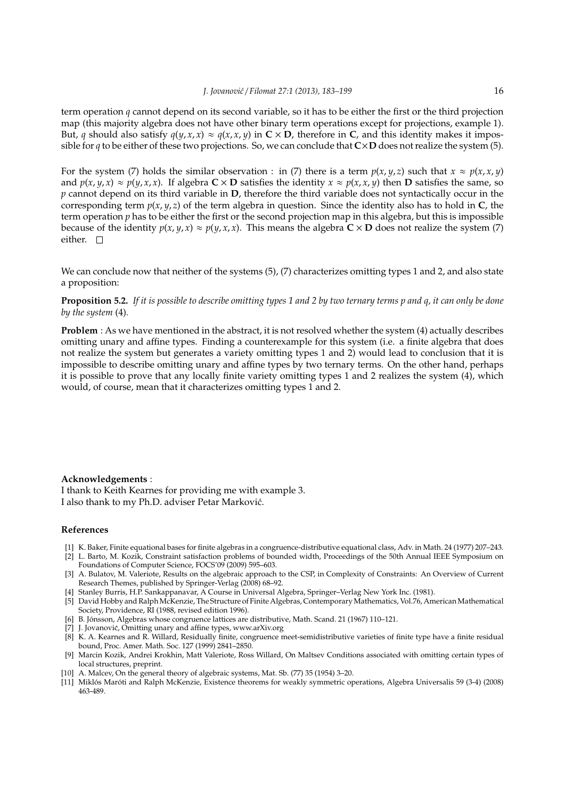term operation *q* cannot depend on its second variable, so it has to be either the first or the third projection map (this majority algebra does not have other binary term operations except for projections, example 1). But, *q* should also satisfy  $q(y, x, x) \approx q(x, x, y)$  in  $C \times D$ , therefore in C, and this identity makes it impossible for  $q$  to be either of these two projections. So, we can conclude that  $C \times D$  does not realize the system (5).

For the system (7) holds the similar observation : in (7) there is a term  $p(x, y, z)$  such that  $x \approx p(x, x, y)$ and  $p(x, y, x) \approx p(y, x, x)$ . If algebra  $C \times D$  satisfies the identity  $x \approx p(x, x, y)$  then D satisfies the same, so *p* cannot depend on its third variable in **D**, therefore the third variable does not syntactically occur in the corresponding term  $p(x, y, z)$  of the term algebra in question. Since the identity also has to hold in **C**, the term operation *p* has to be either the first or the second projection map in this algebra, but this is impossible because of the identity  $p(x, y, x) \approx p(y, x, x)$ . This means the algebra  $C \times D$  does not realize the system (7) either.  $\square$ 

We can conclude now that neither of the systems (5), (7) characterizes omitting types 1 and 2, and also state a proposition:

**Proposition 5.2.** *If it is possible to describe omitting types 1 and 2 by two ternary terms p and q, it can only be done by the system* (4)*.*

**Problem** : As we have mentioned in the abstract, it is not resolved whether the system (4) actually describes omitting unary and affine types. Finding a counterexample for this system (i.e. a finite algebra that does not realize the system but generates a variety omitting types 1 and 2) would lead to conclusion that it is impossible to describe omitting unary and affine types by two ternary terms. On the other hand, perhaps it is possible to prove that any locally finite variety omitting types 1 and 2 realizes the system (4), which would, of course, mean that it characterizes omitting types 1 and 2.

#### **Acknowledgements** :

I thank to Keith Kearnes for providing me with example 3. I also thank to my Ph.D. adviser Petar Markovic.´

# **References**

- [1] K. Baker, Finite equational bases for finite algebras in a congruence-distributive equational class, Adv. in Math. 24 (1977) 207–243. [2] L. Barto, M. Kozik, Constraint satisfaction problems of bounded width, Proceedings of the 50th Annual IEEE Symposium on
- Foundations of Computer Science, FOCS'09 (2009) 595–603. [3] A. Bulatov, M. Valeriote, Results on the algebraic approach to the CSP, in Complexity of Constraints: An Overview of Current
- Research Themes, published by Springer-Verlag (2008) 68–92. [4] Stanley Burris, H.P. Sankappanavar, A Course in Universal Algebra, Springer–Verlag New York Inc. (1981).
- [5] David Hobby and RalphMcKenzie, The Structure of Finite Algebras, ContemporaryMathematics, Vol.76, AmericanMathematical Society, Providence, RI (1988, revised edition 1996).
- [6] B. Jonsson, Algebras whose congruence lattices are distributive, Math. Scand. 21 (1967) 110–121. ´
- [7] J. Jovanović, Omitting unary and affine types, www.arXiv.org
- [8] K. A. Kearnes and R. Willard, Residually finite, congruence meet-semidistributive varieties of finite type have a finite residual bound, Proc. Amer. Math. Soc. 127 (1999) 2841–2850.
- [9] Marcin Kozik, Andrei Krokhin, Matt Valeriote, Ross Willard, On Maltsev Conditions associated with omitting certain types of local structures, preprint.
- [10] A. Malcev, On the general theory of algebraic systems, Mat. Sb. (77) 35 (1954) 3–20.
- [11] Miklós Maróti and Ralph McKenzie, Existence theorems for weakly symmetric operations, Algebra Universalis 59 (3-4) (2008) 463-489.